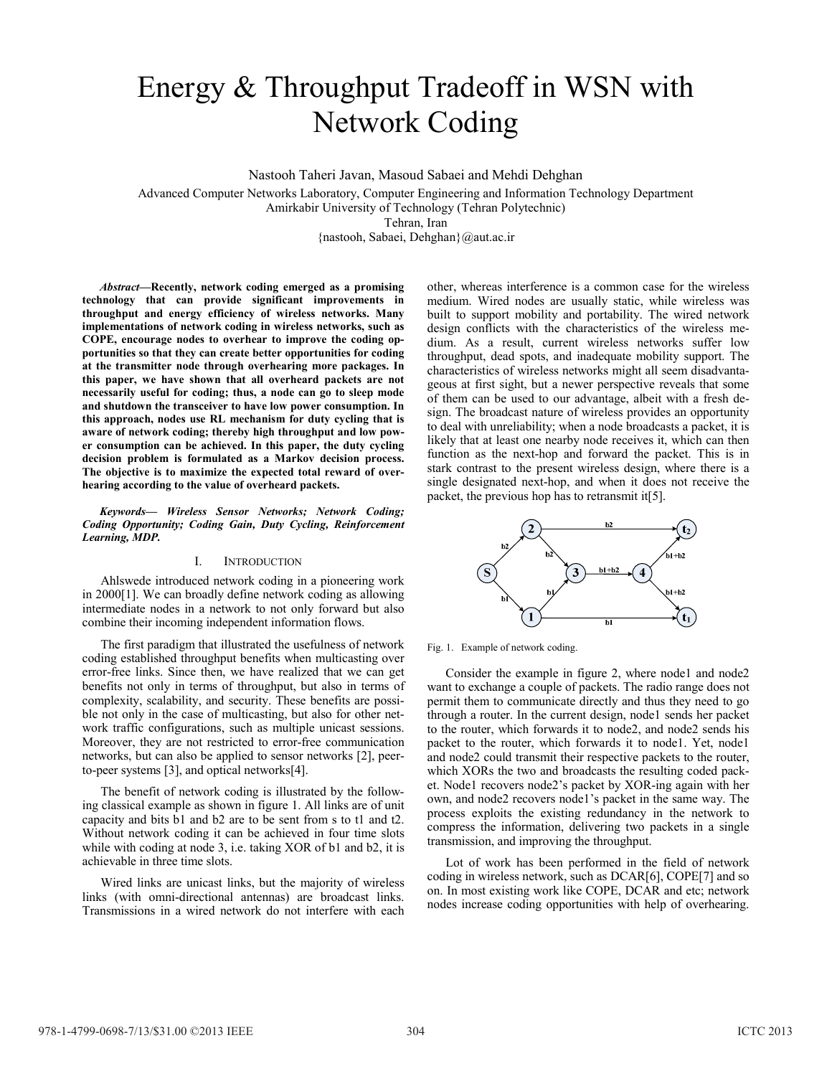# Energy & Throughput Tradeoff in WSN with Network Coding

Nastooh Taheri Javan, Masoud Sabaei and Mehdi Dehghan

Advanced Computer Networks Laboratory, Computer Engineering and Information Technology Department Amirkabir University of Technology (Tehran Polytechnic) Tehran, Iran

{nastooh, Sabaei, Dehghan}@aut.ac.ir

*Abstract***—Recently, network coding emerged as a promising** technology that can provide significant improvements in throughput and energy efficiency of wireless networks. Many implementations of network coding in wireless networks, such as COPE, encourage nodes to overhear to improve the coding opportunities so that they can create better opportunities for coding at the transmitter node through overhearing more packages. In this paper, we have shown that all overheard packets are not necessarily useful for coding; thus, a node can go to sleep mode and shutdown the transceiver to have low power consumption. In this approach, nodes use RL mechanism for duty cycling that is aware of network coding; thereby high throughput and low power consumption can be achieved. In this paper, the duty cycling decision problem is formulated as a Markov decision process. The objective is to maximize the expected total reward of overhearing according to the value of overheard packets.

Keywords— Wireless Sensor Networks; Network Coding; **Coding Opportunity; Coding Gain, Duty Cycling, Reinforcement** Learning, MDP.

# I. INTRODUCTION

Ahlswede introduced network coding in a pioneering work in 2000[1]. We can broadly define network coding as allowing intermediate nodes in a network to not only forward but also combine their incoming independent information flows.

The first paradigm that illustrated the usefulness of network coding established throughput benefits when multicasting over error-free links. Since then, we have realized that we can get benefits not only in terms of throughput, but also in terms of complexity, scalability, and security. These benefits are possi ble not only in the case of multicasting, but also for other net work traffic configurations, such as multiple unicast sessions. Moreover, they are not restricted to error-free communication networks, but can also be applied to sensor networks [2], peer to-peer systems [3], and optical networks[4].

The benefit of network coding is illustrated by the follow ing classical example as shown in figure 1. All links are of unit capacity and bits b1 and b2 are to be sent from s to t1 and t2. Without network coding it can be achieved in four time slots while with coding at node 3, i.e. taking XOR of b1 and b2, it is achievable in three time slots.

Wired links are unicast links, but the majority of wireless links (with omni-directional antennas) are broadcast links. Transmissions in a wired network do not interfere with each other, whereas interference is a common case for the wireless medium. Wired nodes are usually static, while wireless was built to support mobility and portability. The wired network design conflicts with the characteristics of the wireless me dium. As a result, current wireless networks suffer low throughput, dead spots, and inadequate mobility support. The characteristics of wireless networks might all seem disadvanta geous at first sight, but a newer perspective reveals that some of them can be used to our advantage, albeit with a fresh de sign. The broadcast nature of wireless provides an opportunity to deal with unreliability; when a node broadcasts a packet, it is likely that at least one nearby node receives it, which can then function as the next-hop and forward the packet. This is in stark contrast to the present wireless design, where there is a single designated next-hop, and when it does not receive the packet, the previous hop has to retransmit it[5].



Fig. 1. Example of network coding.

Consider the example in figure 2, where node1 and node2 want to exchange a couple of packets. The radio range does not permit them to communicate directly and thus they need to go through a router. In the current design, node1 sends her packet to the router, which forwards it to node2, and node2 sends his packet to the router, which forwards it to node1. Yet, node1. and node2 could transmit their respective packets to the router, which XORs the two and broadcasts the resulting coded pack et. Node1 recovers node2's packet by XOR-ing again with her own, and node2 recovers node1's packet in the same way. The process exploits the existing redundancy in the network to compress the information, delivering two packets in a single transmission, and improving the throughput.

Lot of work has been performed in the field of network coding in wireless network, such as DCAR[6], COPE[7] and so on. In most existing work like COPE, DCAR and etc; network nodes increase coding opportunities with help of overhearing.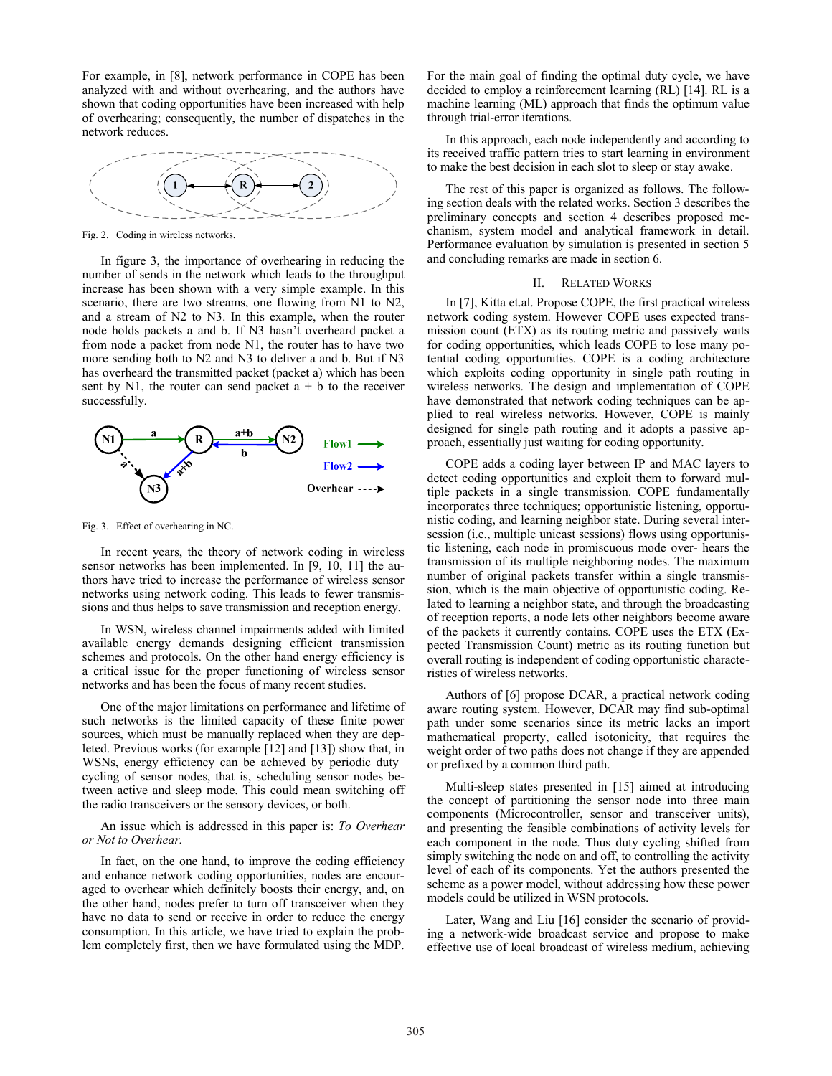For example, in [8], network performance in COPE has been analyzed with and without overhearing, and the authors have shown that coding opportunities have been increased with help of overhearing; consequently, the number of dispatches in the network reduces.



Fig. 2. Coding in wireless networks.

In figure 3, the importance of overhearing in reducing the number of sends in the network which leads to the throughput increase has been shown with a very simple example. In this scenario, there are two streams, one flowing from N1 to N2, and a stream of N2 to N3. In this example, when the router node holds packets a and b. If N3 hasn't overheard packet a from node a packet from node N1, the router has to have two more sending both to N2 and N3 to deliver a and b. But if N3 has overheard the transmitted packet (packet a) which has been sent by N1, the router can send packet  $a + b$  to the receiver successfully.



Fig. 3. Effect of overhearing in NC.

In recent years, the theory of network coding in wireless sensor networks has been implemented. In [9, 10, 11] the au thors have tried to increase the performance of wireless sensor networks using network coding. This leads to fewer transmis sions and thus helps to save transmission and reception energy.

In WSN, wireless channel impairments added with limited available energy demands designing efficient transmission schemes and protocols. On the other hand energy efficiency is a critical issue for the proper functioning of wireless sensor networks and has been the focus of many recent studies.

One of the major limitations on performance and lifetime of such networks is the limited capacity of these finite power sources, which must be manually replaced when they are dep leted. Previous works (for example [12] and [13]) show that, in WSNs, energy efficiency can be achieved by periodic duty cycling of sensor nodes, that is, scheduling sensor nodes be tween active and sleep mode. This could mean switching off the radio transceivers or the sensory devices, or both.

An issue which is addressed in this paper is: To Overhear or Not to Overhear.

In fact, on the one hand, to improve the coding efficiency and enhance network coding opportunities, nodes are encour aged to overhear which definitely boosts their energy, and, on the other hand, nodes prefer to turn off transceiver when they have no data to send or receive in order to reduce the energy consumption. In this article, we have tried to explain the prob lem completely first, then we have formulated using the MDP.

For the main goal of finding the optimal duty cycle, we have decided to employ a reinforcement learning (RL) [14]. RL is a machine learning (ML) approach that finds the optimum value through trial-error iterations.

In this approach, each node independently and according to its received traffic pattern tries to start learning in environment to make the best decision in each slot to sleep or stay awake.

The rest of this paper is organized as follows. The follow ing section deals with the related works. Section 3 describes the preliminary concepts and section 4 describes proposed me chanism, system model and analytical framework in detail. Performance evaluation by simulation is presented in section 5 and concluding remarks are made in section 6.

# II. RELATED WORKS

In [7], Kitta et.al. Propose COPE, the first practical wireless network coding system. However COPE uses expected trans mission count (ETX) as its routing metric and passively waits for coding opportunities, which leads COPE to lose many po tential coding opportunities. COPE is a coding architecture which exploits coding opportunity in single path routing in wireless networks. The design and implementation of COPE have demonstrated that network coding techniques can be ap plied to real wireless networks. However, COPE is mainly designed for single path routing and it adopts a passive ap proach, essentially just waiting for coding opportunity.

COPE adds a coding layer between IP and MAC layers to detect coding opportunities and exploit them to forward mul tiple packets in a single transmission. COPE fundamentally incorporates three techniques; opportunistic listening, opportu nistic coding, and learning neighbor state. During several inter session (i.e., multiple unicast sessions) flows using opportunis tic listening, each node in promiscuous mode over hears the transmission of its multiple neighboring nodes. The maximum number of original packets transfer within a single transmis sion, which is the main objective of opportunistic coding. Re lated to learning a neighbor state, and through the broadcasting of reception reports, a node lets other neighbors become aware of the packets it currently contains. COPE uses the ETX (Ex pected Transmission Count) metric as its routing function but overall routing is independent of coding opportunistic characte ristics of wireless networks.

Authors of [6] propose DCAR, a practical network coding aware routing system. However, DCAR may find sub-optimal path under some scenarios since its metric lacks an import mathematical property, called isotonicity, that requires the weight order of two paths does not change if they are appended or prefixed by a common third path.

Multi-sleep states presented in [15] aimed at introducing the concept of partitioning the sensor node into three main components (Microcontroller, sensor and transceiver units), and presenting the feasible combinations of activity levels for each component in the node. Thus duty cycling shifted from simply switching the node on and off, to controlling the activity level of each of its components. Yet the authors presented the scheme as a power model, without addressing how these power models could be utilized in WSN protocols.

Later, Wang and Liu [16] consider the scenario of provid ing a network-wide broadcast service and propose to make effective use of local broadcast of wireless medium, achieving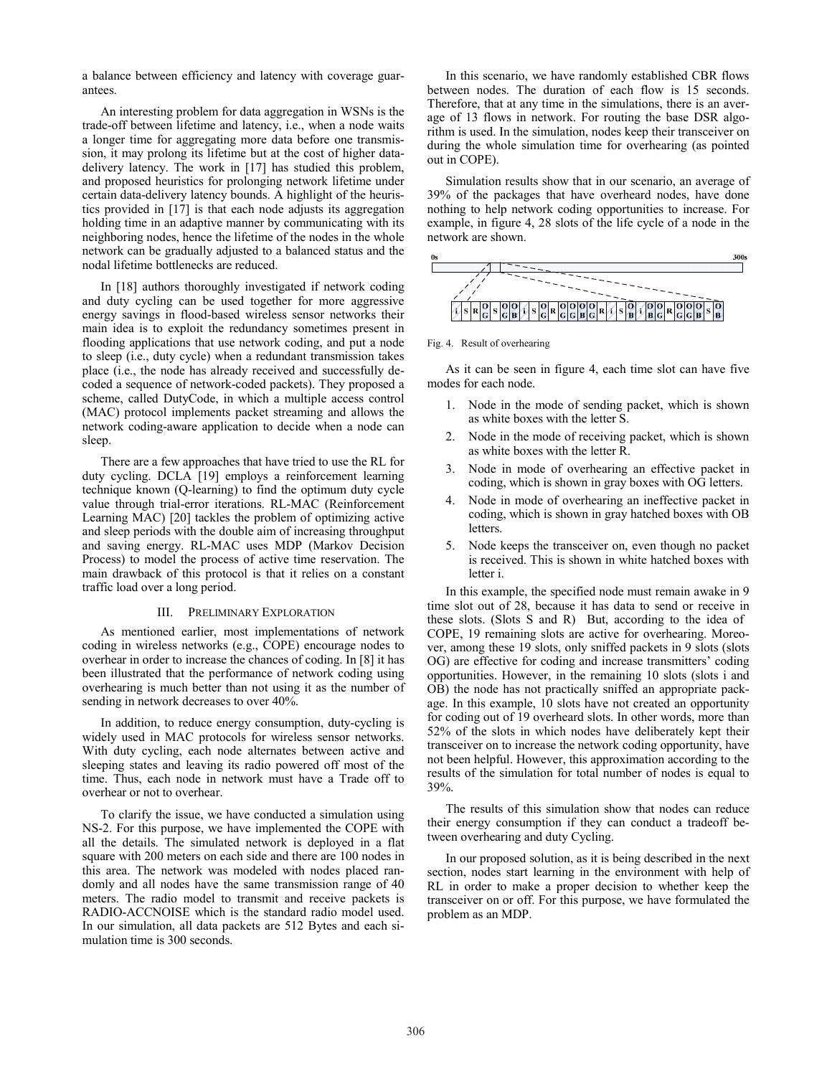a balance between efficiency and latency with coverage guar antees.

An interesting problem for data aggregation in WSNs is the trade-off between lifetime and latency, i.e., when a node waits a longer time for aggregating more data before one transmis sion, it may prolong its lifetime but at the cost of higher data delivery latency. The work in [17] has studied this problem, and proposed heuristics for prolonging network lifetime under certain data-delivery latency bounds. A highlight of the heuristics provided in [17] is that each node adjusts its aggregation holding time in an adaptive manner by communicating with its neighboring nodes, hence the lifetime of the nodes in the whole network can be gradually adjusted to a balanced status and the nodal lifetime bottlenecks are reduced.

In [18] authors thoroughly investigated if network coding and duty cycling can be used together for more aggressive energy savings in flood-based wireless sensor networks their main idea is to exploit the redundancy sometimes present in flooding applications that use network coding, and put a node to sleep (i.e., duty cycle) when a redundant transmission takes place (i.e., the node has already received and successfully de coded a sequence of network-coded packets). They proposed a scheme, called DutyCode, in which a multiple access control (MAC) protocol implements packet streaming and allows the network coding-aware application to decide when a node can sleep.

There are a few approaches that have tried to use the RL for duty cycling. DCLA [19] employs a reinforcement learning technique known (Q-learning) to find the optimum duty cycle value through trial-error iterations. RL-MAC (Reinforcement Learning MAC) [20] tackles the problem of optimizing active and sleep periods with the double aim of increasing throughput and saving energy. RL-MAC uses MDP (Markov Decision Process) to model the process of active time reservation. The main drawback of this protocol is that it relies on a constant traffic load over a long period.

#### III. PRELIMINARY EXPLORATION

As mentioned earlier, most implementations of network coding in wireless networks (e.g., COPE) encourage nodes to overhear in order to increase the chances of coding. In [8] it has been illustrated that the performance of network coding using overhearing is much better than not using it as the number of sending in network decreases to over 40%.

In addition, to reduce energy consumption, duty-cycling is widely used in MAC protocols for wireless sensor networks. With duty cycling, each node alternates between active and sleeping states and leaving its radio powered off most of the time. Thus, each node in network must have a Trade off to overhear or not to overhear.

To clarify the issue, we have conducted a simulation using NS2. For this purpose, we have implemented the COPE with all the details. The simulated network is deployed in a flat square with 200 meters on each side and there are 100 nodes in this area. The network was modeled with nodes placed ran domly and all nodes have the same transmission range of 40 meters. The radio model to transmit and receive packets is RADIO-ACCNOISE which is the standard radio model used. In our simulation, all data packets are 512 Bytes and each si mulation time is 300 seconds.

In this scenario, we have randomly established CBR flows between nodes. The duration of each flow is 15 seconds. Therefore, that at any time in the simulations, there is an aver age of 13 flows in network. For routing the base DSR algo rithm is used. In the simulation, nodes keep their transceiver on during the whole simulation time for overhearing (as pointed out in COPE).

Simulation results show that in our scenario, an average of 39% of the packages that have overheard nodes, have done nothing to help network coding opportunities to increase. For example, in figure 4, 28 slots of the life cycle of a node in the network are shown.



Fig. 4. Result of overhearing

As it can be seen in figure 4, each time slot can have five modes for each node.

- 1. Node in the mode of sending packet, which is shown as white boxes with the letter S.
- 2. Node in the mode of receiving packet, which is shown as white boxes with the letter R.
- 3. Node in mode of overhearing an effective packet in coding, which is shown in gray boxes with OG letters.
- 4. Node in mode of overhearing an ineffective packet in coding, which is shown in gray hatched boxes with OB letters.
- 5. Node keeps the transceiver on, even though no packet is received. This is shown in white hatched boxes with letter i.

In this example, the specified node must remain awake in 9 time slot out of 28, because it has data to send or receive in these slots. (Slots S and R) But, according to the idea of COPE, 19 remaining slots are active for overhearing. Moreo ver, among these 19 slots, only sniffed packets in 9 slots (slots OG) are effective for coding and increase transmitters' coding opportunities. However, in the remaining 10 slots (slots i and OB) the node has not practically sniffed an appropriate pack age. In this example, 10 slots have not created an opportunity for coding out of 19 overheard slots. In other words, more than 52% of the slots in which nodes have deliberately kept their transceiver on to increase the network coding opportunity, have not been helpful. However, this approximation according to the results of the simulation for total number of nodes is equal to 39%.

The results of this simulation show that nodes can reduce their energy consumption if they can conduct a tradeoff be tween overhearing and duty Cycling.

In our proposed solution, as it is being described in the next section, nodes start learning in the environment with help of RL in order to make a proper decision to whether keep the transceiver on or off. For this purpose, we have formulated the problem as an MDP.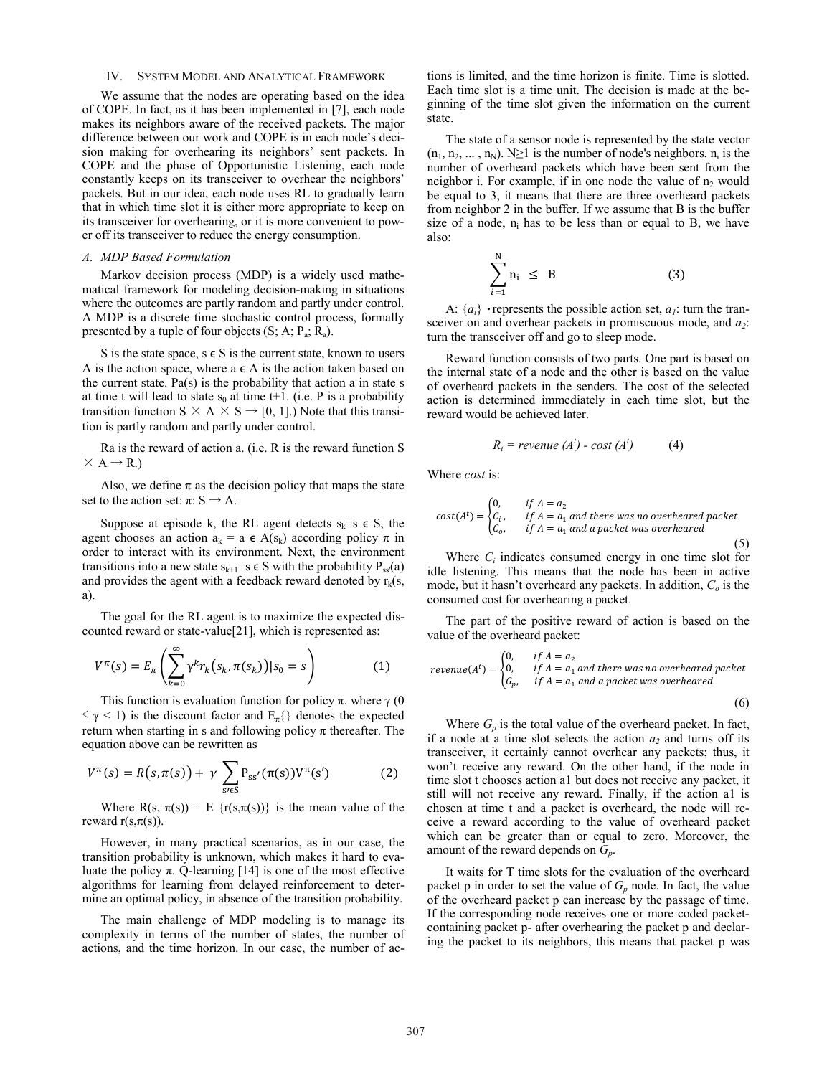## IV. SYSTEM MODEL AND ANALYTICAL FRAMEWORK

We assume that the nodes are operating based on the idea of COPE. In fact, as it has been implemented in [7], each node makes its neighbors aware of the received packets. The major difference between our work and COPE is in each node's deci sion making for overhearing its neighbors' sent packets. In COPE and the phase of Opportunistic Listening, each node constantly keeps on its transceiver to overhear the neighbors' packets. But in our idea, each node uses RL to gradually learn that in which time slot it is either more appropriate to keep on its transceiver for overhearing, or it is more convenient to pow er off its transceiver to reduce the energy consumption.

### A. MDP Based Formulation

Markov decision process (MDP) is a widely used mathe matical framework for modeling decision-making in situations where the outcomes are partly random and partly under control. A MDP is a discrete time stochastic control process, formally presented by a tuple of four objects  $(S; A; P_a; R_a)$ .

S is the state space,  $s \in S$  is the current state, known to users A is the action space, where  $a \in A$  is the action taken based on the current state.  $Pa(s)$  is the probability that action a in state s at time t will lead to state  $s_0$  at time t+1. (i.e. P is a probability transition function  $S \times A \times S \rightarrow [0, 1]$ .) Note that this transition is partly random and partly under control.

Ra is the reward of action a. (i.e. R is the reward function S  $\times$  A  $\rightarrow$  R.)

Also, we define  $\pi$  as the decision policy that maps the state set to the action set:  $\pi: S \rightarrow A$ .

Suppose at episode k, the RL agent detects  $s_k=s \in S$ , the agent chooses an action  $a_k = a \in A(s_k)$  according policy  $\pi$  in order to interact with its environment. Next, the environment transitions into a new state  $s_{k+1}=s \in S$  with the probability  $P_{ss}(a)$ and provides the agent with a feedback reward denoted by  $r_k(s)$ , a).

The goal for the RL agent is to maximize the expected dis counted reward or state-value[21], which is represented as:

$$
V^{\pi}(s) = E_{\pi} \left( \sum_{k=0}^{\infty} \gamma^k r_k(s_k, \pi(s_k)) | s_0 = s \right) \tag{1}
$$

This function is evaluation function for policy  $\pi$ . where  $\gamma$  (0  $\leq \gamma < 1$ ) is the discount factor and  $E_{\pi}$ {} denotes the expected return when starting in s and following policy  $\pi$  thereafter. The equation above can be rewritten as

$$
V^{\pi}(s) = R(s, \pi(s)) + \gamma \sum_{s \neq s} P_{ss'}(\pi(s)) V^{\pi}(s')
$$
 (2)

Where  $R(s, \pi(s)) = E \{r(s, \pi(s))\}$  is the mean value of the reward  $r(s, \pi(s))$ .

However, in many practical scenarios, as in our case, the transition probability is unknown, which makes it hard to eva luate the policy π. Q-learning [14] is one of the most effective algorithms for learning from delayed reinforcement to deter mine an optimal policy, in absence of the transition probability.

The main challenge of MDP modeling is to manage its complexity in terms of the number of states, the number of actions, and the time horizon. In our case, the number of ac

tions is limited, and the time horizon is finite. Time is slotted. Each time slot is a time unit. The decision is made at the be ginning of the time slot given the information on the current state.

The state of a sensor node is represented by the state vector  $(n_1, n_2, \ldots, n_N)$ . N≥1 is the number of node's neighbors.  $n_i$  is the number of overheard packets which have been sent from the neighbor i. For example, if in one node the value of  $n<sub>2</sub>$  would be equal to 3, it means that there are three overheard packets from neighbor 2 in the buffer. If we assume that B is the buffer size of a node,  $n_i$  has to be less than or equal to B, we have also:

$$
\sum_{i=1}^{N} n_i \leq B \tag{3}
$$

A:  ${a_i}$  • represents the possible action set,  $a_i$ : turn the transceiver on and overhear packets in promiscuous mode, and  $a_2$ . turn the transceiver off and go to sleep mode.

Reward function consists of two parts. One part is based on the internal state of a node and the other is based on the value of overheard packets in the senders. The cost of the selected action is determined immediately in each time slot, but the reward would be achieved later.

$$
R_t = revenue(A^t) - cost(A^t)
$$
 (4)

Where *cost* is:

$$
cost(At) = \begin{cases} 0, & if A = a_2 \\ C_i, & if A = a_1 \text{ and there was no overhead packet} \\ C_o, & if A = a_1 \text{ and a packet was overhead} \end{cases}
$$
(5)

Where  $C_i$  indicates consumed energy in one time slot for idle listening. This means that the node has been in active mode, but it hasn't overheard any packets. In addition,  $C<sub>o</sub>$  is the consumed cost for overhearing a packet.

The part of the positive reward of action is based on the value of the overheard packet:

$$
revenue(At) = \begin{cases} 0, & if A = a_2 \\ 0, & if A = a_1 \text{ and there was no overhead packet} \\ G_p, & if A = a_1 \text{ and a packet was overhead} \end{cases}
$$
(6)

Where  $G_p$  is the total value of the overheard packet. In fact, if a node at a time slot selects the action  $a_2$  and turns off its transceiver, it certainly cannot overhear any packets; thus, it won't receive any reward. On the other hand, if the node in time slot t chooses action a1 but does not receive any packet, it still will not receive any reward. Finally, if the action a1 is chosen at time t and a packet is overheard, the node will re ceive a reward according to the value of overheard packet which can be greater than or equal to zero. Moreover, the amount of the reward depends on  $G_n$ .

It waits for T time slots for the evaluation of the overheard packet p in order to set the value of  $G_p$  node. In fact, the value of the overheard packet p can increase by the passage of time. If the corresponding node receives one or more coded packet containing packet p- after overhearing the packet p and declaring the packet to its neighbors, this means that packet p was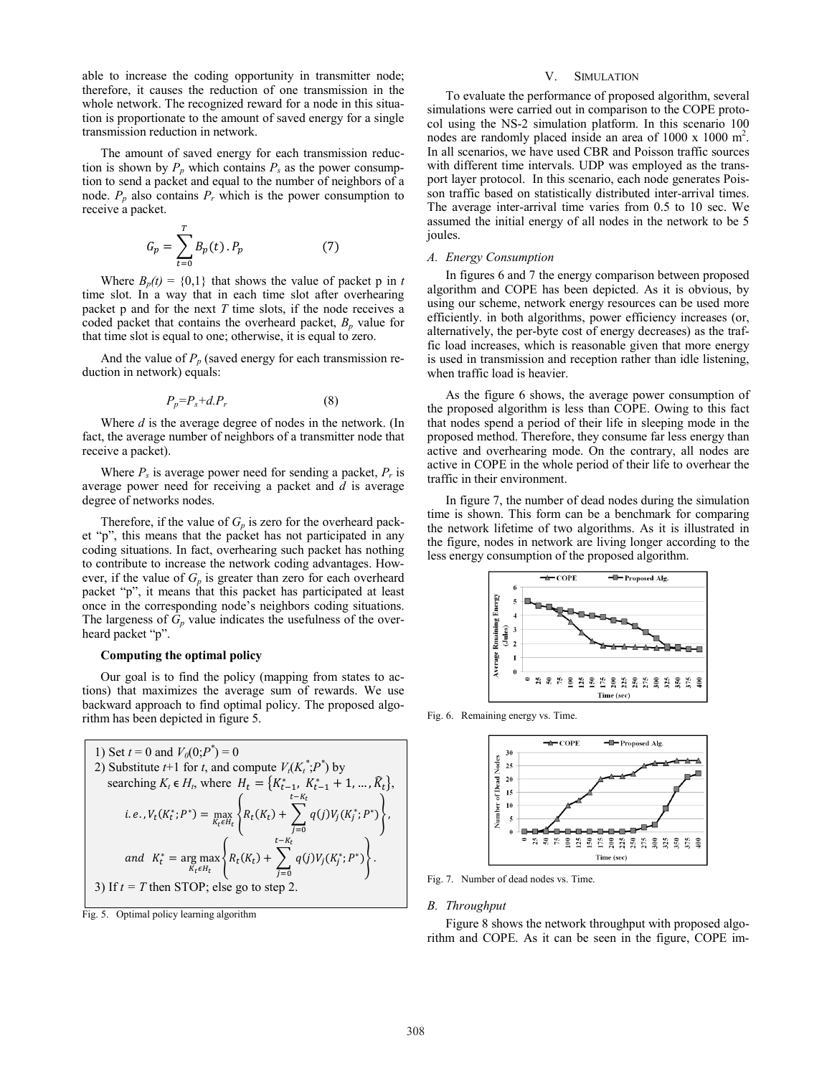able to increase the coding opportunity in transmitter node; therefore, it causes the reduction of one transmission in the whole network. The recognized reward for a node in this situation is proportionate to the amount of saved energy for a single transmission reduction in network.

The amount of saved energy for each transmission reduc tion is shown by  $P_n$  which contains  $P_s$  as the power consumption to send a packet and equal to the number of neighbors of a node.  $P_p$  also contains  $P_r$  which is the power consumption to receive a packet.

$$
G_p = \sum_{t=0}^{T} B_p(t) \cdot P_p \tag{7}
$$

Where  $B_p(t) = \{0,1\}$  that shows the value of packet p in t time slot. In a way that in each time slot after overhearing packet p and for the next  $T$  time slots, if the node receives a coded packet that contains the overheard packet,  $B_p$  value for that time slot is equal to one; otherwise, it is equal to zero.

And the value of  $P_p$  (saved energy for each transmission reduction in network) equals:

$$
P_p = P_s + dP_r \tag{8}
$$

Where  $d$  is the average degree of nodes in the network. (In fact, the average number of neighbors of a transmitter node that receive a packet).

Where  $P_s$  is average power need for sending a packet,  $P_r$  is average power need for receiving a packet and  $d$  is average degree of networks nodes.

Therefore, if the value of  $G_p$  is zero for the overheard packet "p", this means that the packet has not participated in any coding situations. In fact, overhearing such packet has nothing to contribute to increase the network coding advantages. How ever, if the value of  $G_p$  is greater than zero for each overheard packet "p", it means that this packet has participated at least once in the corresponding node's neighbors coding situations. The largeness of  $G_p$  value indicates the usefulness of the overheard packet "p".

#### Computing the optimal policy

Our goal is to find the policy (mapping from states to ac tions) that maximizes the average sum of rewards. We use backward approach to find optimal policy. The proposed algo rithm has been depicted in figure 5.

1) Set 
$$
t = 0
$$
 and  $V_0(0; P^*) = 0$   
\n2) Substitute  $t+1$  for  $t$ , and compute  $V_t(K_t^*; P^*)$  by  
\nsearching  $K_t \in H_t$ , where  $H_t = \{K_{t-1}^*, K_{t-1}^* + 1, ..., \widehat{K}_t\}$ ,  
\ni.e.,  $V_t(K_t^*; P^*) = \max_{K_t \in H_t} \left\{ R_t(K_t) + \sum_{j=0}^{t-K_t} q(j)V_j(K_j^*; P^*) \right\}$ ,  
\nand  $K_t^* = \arg \max_{K_t \in H_t} \left\{ R_t(K_t) + \sum_{j=0}^{t-K_t} q(j)V_j(K_j^*; P^*) \right\}$ .  
\n3) If  $t = T$  then STOP; else go to step 2.

Fig. 5. Optimal policy learning algorithm

# V. SIMULATION

To evaluate the performance of proposed algorithm, several simulations were carried out in comparison to the COPE proto col using the NS-2 simulation platform. In this scenario 100 nodes are randomly placed inside an area of 1000 x 1000 m<sup>2</sup>. In all scenarios, we have used CBR and Poisson traffic sources with different time intervals. UDP was employed as the trans port layer protocol. In this scenario, each node generates Pois son traffic based on statistically distributed inter-arrival times. The average inter-arrival time varies from  $0.5$  to  $10$  sec. We assumed the initial energy of all nodes in the network to be 5 joules.

#### A. Energy Consumption

In figures 6 and 7 the energy comparison between proposed algorithm and COPE has been depicted. As it is obvious, by using our scheme, network energy resources can be used more efficiently. in both algorithms, power efficiency increases (or, alternatively, the per-byte cost of energy decreases) as the traffic load increases, which is reasonable given that more energy is used in transmission and reception rather than idle listening, when traffic load is heavier.

As the figure 6 shows, the average power consumption of the proposed algorithm is less than COPE. Owing to this fact that nodes spend a period of their life in sleeping mode in the proposed method. Therefore, they consume far less energy than active and overhearing mode. On the contrary, all nodes are active in COPE in the whole period of their life to overhear the traffic in their environment.

In figure 7, the number of dead nodes during the simulation time is shown. This form can be a benchmark for comparing the network lifetime of two algorithms. As it is illustrated in the figure, nodes in network are living longer according to the less energy consumption of the proposed algorithm.



Fig. 6. Remaining energy vs. Time.



Fig. 7. Number of dead nodes vs. Time.

#### **B.** Throughput

Figure 8 shows the network throughput with proposed algo rithm and COPE. As it can be seen in the figure, COPE im